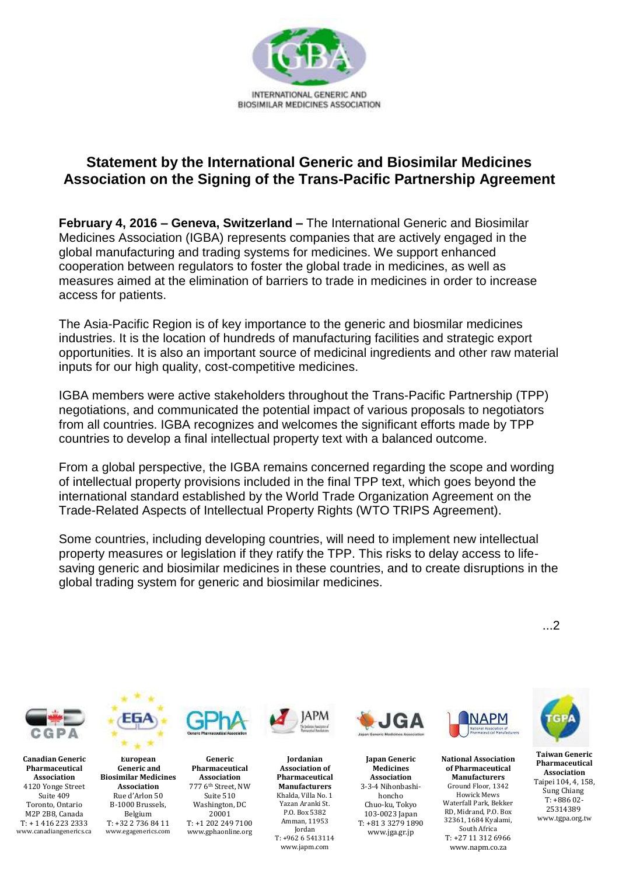

## **Statement by the International Generic and Biosimilar Medicines Association on the Signing of the Trans-Pacific Partnership Agreement**

**February 4, 2016 – Geneva, Switzerland –** The International Generic and Biosimilar Medicines Association (IGBA) represents companies that are actively engaged in the global manufacturing and trading systems for medicines. We support enhanced cooperation between regulators to foster the global trade in medicines, as well as measures aimed at the elimination of barriers to trade in medicines in order to increase access for patients.

The Asia-Pacific Region is of key importance to the generic and biosmilar medicines industries. It is the location of hundreds of manufacturing facilities and strategic export opportunities. It is also an important source of medicinal ingredients and other raw material inputs for our high quality, cost-competitive medicines.

IGBA members were active stakeholders throughout the Trans-Pacific Partnership (TPP) negotiations, and communicated the potential impact of various proposals to negotiators from all countries. IGBA recognizes and welcomes the significant efforts made by TPP countries to develop a final intellectual property text with a balanced outcome.

From a global perspective, the IGBA remains concerned regarding the scope and wording of intellectual property provisions included in the final TPP text, which goes beyond the international standard established by the World Trade Organization Agreement on the Trade-Related Aspects of Intellectual Property Rights (WTO TRIPS Agreement).

Some countries, including developing countries, will need to implement new intellectual property measures or legislation if they ratify the TPP. This risks to delay access to lifesaving generic and biosimilar medicines in these countries, and to create disruptions in the global trading system for generic and biosimilar medicines.

...2



**Canadian Generic Pharmaceutical Association** 4120 Yonge Street Suite 409 Toronto, Ontario M2P 2B8, Canada T: + 1 416 223 2333 www.canadiangenerics.ca



**European Generic and Biosimilar Medicines Association** Rue d'Arlon 50 B-1000 Brussels, Belgium T: +32 2 736 84 11 www.egagenerics.com



**Jordanian**

Jordan

www.japm.com

**Generic Pharmaceutical Association** 777 6th Street, NW Suite 510 Washington, DC 20001 T: +1 202 249 7100 www.gphaonline.org **Association of Pharmaceutical Manufacturers** Khalda, Villa No. 1 Yazan Aranki St. P.O. Box 5382 Amman, 11953 T: +962 6 5413114



**Japan Generic Medicines Association**  3-3-4 Nihonbashihoncho Chuo-ku, Tokyo 103-0023 Japan T: +81 3 3279 1890 www.jga.gr.jp



**National Association of Pharmaceutical Manufacturers**  Ground Floor, 1342 Howick Mews Waterfall Park, Bekker RD, Midrand, P.O. Box 32361, 1684 Kyalami, South Africa T: +27 11 312 6966

www.napm.co.za



**Taiwan Generic Pharmaceutical Association** Taipei 104, 4, 158, Sung Chiang T: +886 02- 25314389 www.tgpa.org.tw